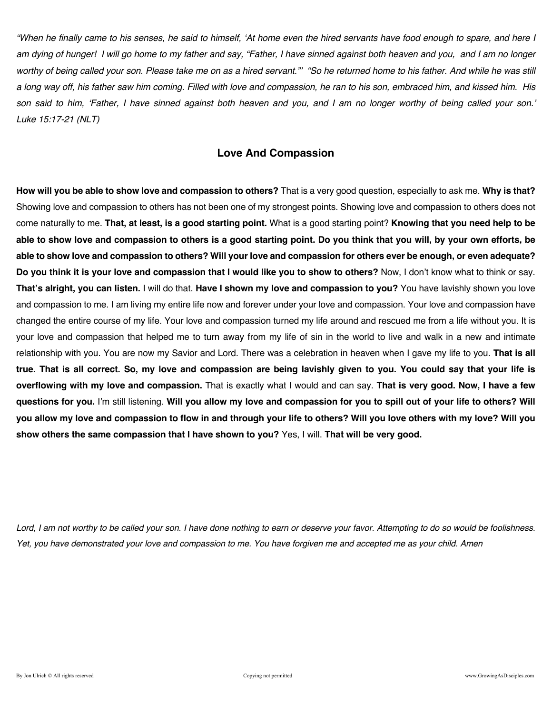*"When he finally came to his senses, he said to himself, 'At home even the hired servants have food enough to spare, and here I am dying of hunger! I will go home to my father and say, "Father, I have sinned against both heaven and you, and I am no longer worthy of being called your son. Please take me on as a hired servant."' "So he returned home to his father. And while he was still a long way off, his father saw him coming. Filled with love and compassion, he ran to his son, embraced him, and kissed him. His son said to him, 'Father, I have sinned against both heaven and you, and I am no longer worthy of being called your son.' Luke 15:17-21 (NLT)* 

## **Love And Compassion**

**How will you be able to show love and compassion to others?** That is a very good question, especially to ask me. **Why is that?** Showing love and compassion to others has not been one of my strongest points. Showing love and compassion to others does not come naturally to me. **That, at least, is a good starting point.** What is a good starting point? **Knowing that you need help to be able to show love and compassion to others is a good starting point. Do you think that you will, by your own efforts, be able to show love and compassion to others? Will your love and compassion for others ever be enough, or even adequate? Do you think it is your love and compassion that I would like you to show to others?** Now, I don't know what to think or say. **That's alright, you can listen.** I will do that. **Have I shown my love and compassion to you?** You have lavishly shown you love and compassion to me. I am living my entire life now and forever under your love and compassion. Your love and compassion have changed the entire course of my life. Your love and compassion turned my life around and rescued me from a life without you. It is your love and compassion that helped me to turn away from my life of sin in the world to live and walk in a new and intimate relationship with you. You are now my Savior and Lord. There was a celebration in heaven when I gave my life to you. **That is all true. That is all correct. So, my love and compassion are being lavishly given to you. You could say that your life is overflowing with my love and compassion.** That is exactly what I would and can say. **That is very good. Now, I have a few questions for you.** I'm still listening. **Will you allow my love and compassion for you to spill out of your life to others? Will you allow my love and compassion to flow in and through your life to others? Will you love others with my love? Will you show others the same compassion that I have shown to you?** Yes, I will. **That will be very good.**

*Lord, I am not worthy to be called your son. I have done nothing to earn or deserve your favor. Attempting to do so would be foolishness. Yet, you have demonstrated your love and compassion to me. You have forgiven me and accepted me as your child. Amen*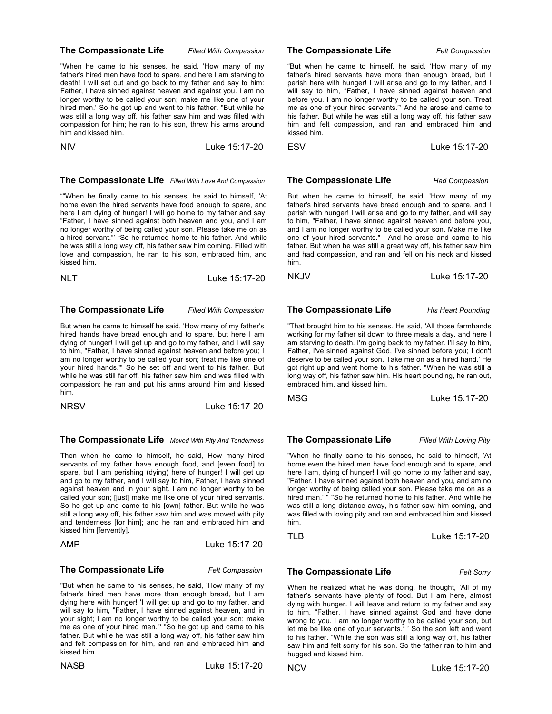## **The Compassionate Life** *Filled With Compassion*

"When he came to his senses, he said, 'How many of my father's hired men have food to spare, and here I am starving to death! I will set out and go back to my father and say to him: Father, I have sinned against heaven and against you. I am no longer worthy to be called your son; make me like one of your hired men.' So he got up and went to his father. "But while he was still a long way off, his father saw him and was filled with compassion for him; he ran to his son, threw his arms around him and kissed him.

NIV Luke 15:17-20

### **The Compassionate Life** *Filled With Love And Compassion*

""When he finally came to his senses, he said to himself, 'At home even the hired servants have food enough to spare, and here I am dying of hunger! I will go home to my father and say, "Father, I have sinned against both heaven and you, and I am no longer worthy of being called your son. Please take me on as a hired servant."' "So he returned home to his father. And while he was still a long way off, his father saw him coming. Filled with love and compassion, he ran to his son, embraced him, and kissed him.

| <b>NLT</b> | Luke 15:17-20 |
|------------|---------------|
|            |               |

### **The Compassionate Life** *Filled With Compassion*

But when he came to himself he said, 'How many of my father's hired hands have bread enough and to spare, but here I am dying of hunger! I will get up and go to my father, and I will say to him, "Father, I have sinned against heaven and before you; I am no longer worthy to be called your son; treat me like one of your hired hands."' So he set off and went to his father. But while he was still far off, his father saw him and was filled with compassion; he ran and put his arms around him and kissed him.

NRSV Luke 15:17-20

## **The Compassionate Life** *Moved With Pity And Tenderness*

Then when he came to himself, he said, How many hired servants of my father have enough food, and [even food] to spare, but I am perishing (dying) here of hunger! I will get up and go to my father, and I will say to him, Father, I have sinned against heaven and in your sight. I am no longer worthy to be called your son; [just] make me like one of your hired servants. So he got up and came to his [own] father. But while he was still a long way off, his father saw him and was moved with pity and tenderness [for him]; and he ran and embraced him and kissed him [fervently].

| AMP | Luke 15:17-20 |
|-----|---------------|
|     |               |

## **The Compassionate Life** *Felt Compassion*

"But when he came to his senses, he said, 'How many of my father's hired men have more than enough bread, but I am dying here with hunger! 'I will get up and go to my father, and will say to him, "Father, I have sinned against heaven, and in your sight; I am no longer worthy to be called your son; make me as one of your hired men."' "So he got up and came to his father. But while he was still a long way off, his father saw him and felt compassion for him, and ran and embraced him and kissed him.

NASB Luke 15:17-20

## **The Compassionate Life** *Felt Compassion*

"But when he came to himself, he said, 'How many of my father's hired servants have more than enough bread, but I perish here with hunger! I will arise and go to my father, and I will say to him, "Father, I have sinned against heaven and before you. I am no longer worthy to be called your son. Treat me as one of your hired servants."' And he arose and came to his father. But while he was still a long way off, his father saw him and felt compassion, and ran and embraced him and kissed him.

ESV Luke 15:17-20

## **The Compassionate Life** Had Compassion

But when he came to himself, he said, 'How many of my father's hired servants have bread enough and to spare, and I perish with hunger! I will arise and go to my father, and will say to him, "Father, I have sinned against heaven and before you, and I am no longer worthy to be called your son. Make me like one of your hired servants." ' And he arose and came to his father. But when he was still a great way off, his father saw him and had compassion, and ran and fell on his neck and kissed him.

NKJV Luke 15:17-20

## **The Compassionate Life** His Heart Pounding

"That brought him to his senses. He said, 'All those farmhands working for my father sit down to three meals a day, and here I am starving to death. I'm going back to my father. I'll say to him, Father, I've sinned against God, I've sinned before you; I don't deserve to be called your son. Take me on as a hired hand.' He got right up and went home to his father. "When he was still a long way off, his father saw him. His heart pounding, he ran out, embraced him, and kissed him.

MSG Luke 15:17-20

## **The Compassionate Life** *Filled With Loving Pity*

"When he finally came to his senses, he said to himself, 'At home even the hired men have food enough and to spare, and here I am, dying of hunger! I will go home to my father and say, "Father, I have sinned against both heaven and you, and am no longer worthy of being called your son. Please take me on as a hired man.' " "So he returned home to his father. And while he was still a long distance away, his father saw him coming, and was filled with loving pity and ran and embraced him and kissed him.

TLB Luke 15:17-20

## **The Compassionate Life** Felt Sorry

When he realized what he was doing, he thought, 'All of my father's servants have plenty of food. But I am here, almost dying with hunger. I will leave and return to my father and say to him, "Father, I have sinned against God and have done wrong to you. I am no longer worthy to be called your son, but let me be like one of your servants." ' So the son left and went to his father. "While the son was still a long way off, his father saw him and felt sorry for his son. So the father ran to him and hugged and kissed him.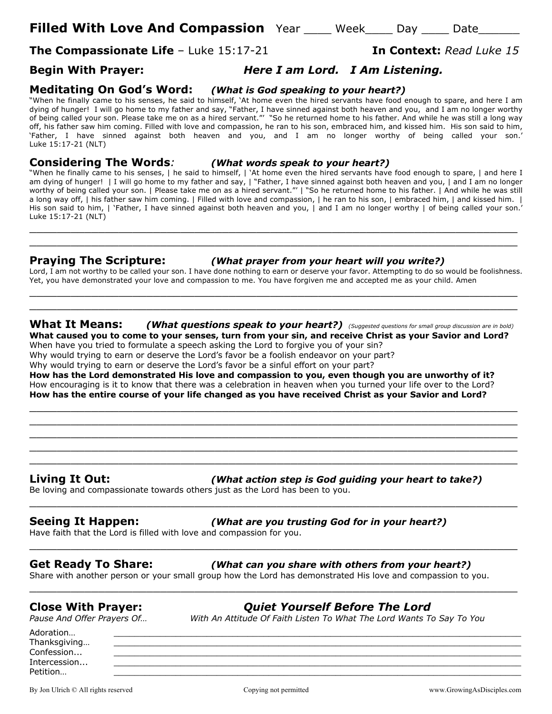**The Compassionate Life** – Luke 15:17-21 **In Context:** *Read Luke 15*

## **Begin With Prayer:** *Here I am Lord. I Am Listening.*

**Meditating On God's Word:** *(What is God speaking to your heart?)*"When he finally came to his senses, he said to himself, 'At home even the hired servants have food enough to spare, and here I am dying of hunger! I will go home to my father and say, "Father, I have sinned against both heaven and you, and I am no longer worthy of being called your son. Please take me on as a hired servant."' "So he returned home to his father. And while he was still a long way off, his father saw him coming. Filled with love and compassion, he ran to his son, embraced him, and kissed him. His son said to him, 'Father, I have sinned against both heaven and you, and I am no longer worthy of being called your son.' Luke 15:17-21 (NLT)

## **Considering The Words***: (What words speak to your heart?)*

"When he finally came to his senses, | he said to himself, | 'At home even the hired servants have food enough to spare, | and here I am dying of hunger! | I will go home to my father and say, | "Father, I have sinned against both heaven and you, | and I am no longer worthy of being called your son. | Please take me on as a hired servant."' | "So he returned home to his father. | And while he was still a long way off, | his father saw him coming. | Filled with love and compassion, | he ran to his son, | embraced him, | and kissed him. | His son said to him, | 'Father, I have sinned against both heaven and you, | and I am no longer worthy | of being called your son. Luke 15:17-21 (NLT)

 $\_$  , and the contribution of the contribution of  $\mathcal{L}$  , and  $\mathcal{L}$  , and  $\mathcal{L}$  , and  $\mathcal{L}$  , and  $\mathcal{L}$  , and  $\mathcal{L}$  , and  $\mathcal{L}$  , and  $\mathcal{L}$  , and  $\mathcal{L}$  , and  $\mathcal{L}$  , and  $\mathcal{L}$  , and  $\mathcal{L$  $\_$  , and the set of the set of the set of the set of the set of the set of the set of the set of the set of the set of the set of the set of the set of the set of the set of the set of the set of the set of the set of th

## **Praying The Scripture:** *(What prayer from your heart will you write?)*

Lord, I am not worthy to be called your son. I have done nothing to earn or deserve your favor. Attempting to do so would be foolishness. Yet, you have demonstrated your love and compassion to me. You have forgiven me and accepted me as your child. Amen  $\_$  . The contribution of the contribution of  $\mathcal{L}_1$  ,  $\mathcal{L}_2$  ,  $\mathcal{L}_3$  ,  $\mathcal{L}_4$  ,  $\mathcal{L}_5$  ,  $\mathcal{L}_6$  ,  $\mathcal{L}_7$  ,  $\mathcal{L}_8$  ,  $\mathcal{L}_9$  ,  $\mathcal{L}_1$  ,  $\mathcal{L}_2$  ,  $\mathcal{L}_3$  ,  $\mathcal{L}_5$  ,  $\mathcal{L}_6$  ,  $\mathcal{L}_$ 

## **What It Means:** *(What questions speak to your heart?) (Suggested questions for small group discussion are in bold)* **What caused you to come to your senses, turn from your sin, and receive Christ as your Savior and Lord?**

 $\_$  , and the set of the set of the set of the set of the set of the set of the set of the set of the set of the set of the set of the set of the set of the set of the set of the set of the set of the set of the set of th

When have you tried to formulate a speech asking the Lord to forgive you of your sin?

Why would trying to earn or deserve the Lord's favor be a foolish endeavor on your part?

Why would trying to earn or deserve the Lord's favor be a sinful effort on your part?

**How has the Lord demonstrated His love and compassion to you, even though you are unworthy of it?** How encouraging is it to know that there was a celebration in heaven when you turned your life over to the Lord? **How has the entire course of your life changed as you have received Christ as your Savior and Lord?**

 $\_$  , and the contribution of the contribution of  $\mathcal{L}$  , and  $\mathcal{L}$  , and  $\mathcal{L}$  , and  $\mathcal{L}$  , and  $\mathcal{L}$  , and  $\mathcal{L}$  , and  $\mathcal{L}$  , and  $\mathcal{L}$  , and  $\mathcal{L}$  , and  $\mathcal{L}$  , and  $\mathcal{L}$  , and  $\mathcal{L$ \_\_\_\_\_\_\_\_\_\_\_\_\_\_\_\_\_\_\_\_\_\_\_\_\_\_\_\_\_\_\_\_\_\_\_\_\_\_\_\_\_\_\_\_\_\_\_\_\_\_\_\_\_\_\_\_\_\_\_\_\_\_\_\_\_\_\_\_\_\_\_  $\_$  , and the contribution of the contribution of  $\mathcal{L}$  , and  $\mathcal{L}$  , and  $\mathcal{L}$  , and  $\mathcal{L}$  , and  $\mathcal{L}$  , and  $\mathcal{L}$  , and  $\mathcal{L}$  , and  $\mathcal{L}$  , and  $\mathcal{L}$  , and  $\mathcal{L}$  , and  $\mathcal{L}$  , and  $\mathcal{L$  $\_$  . The contribution of the contribution of  $\mathcal{L}_1$  ,  $\mathcal{L}_2$  ,  $\mathcal{L}_3$  ,  $\mathcal{L}_4$  ,  $\mathcal{L}_5$  ,  $\mathcal{L}_6$  ,  $\mathcal{L}_7$  ,  $\mathcal{L}_8$  ,  $\mathcal{L}_9$  ,  $\mathcal{L}_1$  ,  $\mathcal{L}_2$  ,  $\mathcal{L}_3$  ,  $\mathcal{L}_5$  ,  $\mathcal{L}_6$  ,  $\mathcal{L}_$ \_\_\_\_\_\_\_\_\_\_\_\_\_\_\_\_\_\_\_\_\_\_\_\_\_\_\_\_\_\_\_\_\_\_\_\_\_\_\_\_\_\_\_\_\_\_\_\_\_\_\_\_\_\_\_\_\_\_\_\_\_\_\_\_\_\_\_\_\_\_\_

\_\_\_\_\_\_\_\_\_\_\_\_\_\_\_\_\_\_\_\_\_\_\_\_\_\_\_\_\_\_\_\_\_\_\_\_\_\_\_\_\_\_\_\_\_\_\_\_\_\_\_\_\_\_\_\_\_\_\_\_\_\_\_\_\_\_\_\_\_\_\_

\_\_\_\_\_\_\_\_\_\_\_\_\_\_\_\_\_\_\_\_\_\_\_\_\_\_\_\_\_\_\_\_\_\_\_\_\_\_\_\_\_\_\_\_\_\_\_\_\_\_\_\_\_\_\_\_\_\_\_\_\_\_\_\_\_\_\_\_\_\_\_

**Living It Out:** *(What action step is God guiding your heart to take?)*

Be loving and compassionate towards others just as the Lord has been to you.

## **Seeing It Happen:** *(What are you trusting God for in your heart?)*

Have faith that the Lord is filled with love and compassion for you.

## **Get Ready To Share:** *(What can you share with others from your heart?)*

Share with another person or your small group how the Lord has demonstrated His love and compassion to you. \_\_\_\_\_\_\_\_\_\_\_\_\_\_\_\_\_\_\_\_\_\_\_\_\_\_\_\_\_\_\_\_\_\_\_\_\_\_\_\_\_\_\_\_\_\_\_\_\_\_\_\_\_\_\_\_\_\_\_\_\_\_\_\_\_\_\_\_\_\_\_

# **Close With Prayer:** *Quiet Yourself Before The Lord*

*Pause And Offer Prayers Of… With An Attitude Of Faith Listen To What The Lord Wants To Say To You*

Adoration… \_\_\_\_\_\_\_\_\_\_\_\_\_\_\_\_\_\_\_\_\_\_\_\_\_\_\_\_\_\_\_\_\_\_\_\_\_\_\_\_\_\_\_\_\_\_\_\_\_\_\_\_\_\_\_\_\_\_\_\_\_\_\_\_\_\_\_\_\_\_\_\_\_\_\_\_\_\_\_ Thanksgiving... Confession... \_\_\_\_\_\_\_\_\_\_\_\_\_\_\_\_\_\_\_\_\_\_\_\_\_\_\_\_\_\_\_\_\_\_\_\_\_\_\_\_\_\_\_\_\_\_\_\_\_\_\_\_\_\_\_\_\_\_\_\_\_\_\_\_\_\_\_\_\_\_\_\_\_\_\_\_\_\_\_ Intercession... \_\_\_\_\_\_\_\_\_\_\_\_\_\_\_\_\_\_\_\_\_\_\_\_\_\_\_\_\_\_\_\_\_\_\_\_\_\_\_\_\_\_\_\_\_\_\_\_\_\_\_\_\_\_\_\_\_\_\_\_\_\_\_\_\_\_\_\_\_\_\_\_\_\_\_\_\_\_\_ Petition… \_\_\_\_\_\_\_\_\_\_\_\_\_\_\_\_\_\_\_\_\_\_\_\_\_\_\_\_\_\_\_\_\_\_\_\_\_\_\_\_\_\_\_\_\_\_\_\_\_\_\_\_\_\_\_\_\_\_\_\_\_\_\_\_\_\_\_\_\_\_\_\_\_\_\_\_\_\_\_

By Jon Ulrich © All rights reserved compared Copying not permitted www.GrowingAsDisciples.com